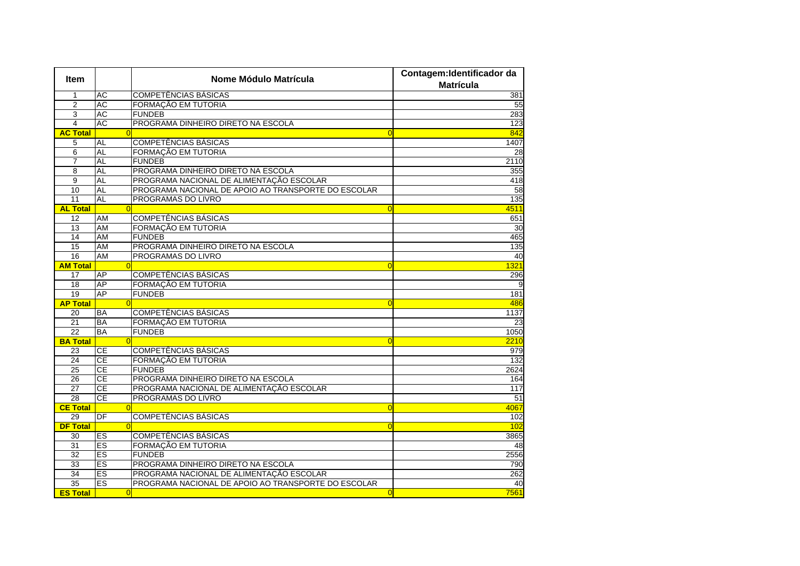| Item            |           | Nome Módulo Matrícula                               | Contagem: Identificador da |
|-----------------|-----------|-----------------------------------------------------|----------------------------|
|                 |           |                                                     | <b>Matrícula</b>           |
| 1               | <b>AC</b> | COMPETÊNCIAS BÁSICAS                                | 381                        |
| 2               | <b>AC</b> | FORMAÇÃO EM TUTORIA                                 | 55                         |
| 3               | <b>AC</b> | <b>FUNDEB</b>                                       | 283                        |
| $\overline{4}$  | <b>AC</b> | PROGRAMA DINHEIRO DIRETO NA ESCOLA                  | 123                        |
| <b>AC Total</b> |           | $\Omega$                                            | 842                        |
| 5               | AL        | COMPETÊNCIAS BÁSICAS                                | 1407                       |
| 6               | <b>AL</b> | FORMAÇÃO EM TUTORIA                                 | $\overline{28}$            |
| $\overline{7}$  | <b>AL</b> | <b>FUNDEB</b>                                       | 2110                       |
| 8               | AL        | PROGRAMA DINHEIRO DIRETO NA ESCOLA                  | 355                        |
| 9               | <b>AL</b> | PROGRAMA NACIONAL DE ALIMENTAÇÃO ESCOLAR            | 418                        |
| $\overline{10}$ | <b>AL</b> | PROGRAMA NACIONAL DE APOIO AO TRANSPORTE DO ESCOLAR | 58                         |
| 11              | <b>AL</b> | PROGRAMAS DO LIVRO                                  | 135                        |
| <b>AL Total</b> | $\Omega$  | $\Omega$                                            | 4511                       |
| 12              | AM        | <b>COMPETÊNCIAS BÁSICAS</b>                         | 651                        |
| 13              | AM        | FORMAÇÃO EM TUTORIA                                 | 30                         |
| 14              | <b>AM</b> | <b>FUNDEB</b>                                       | 465                        |
| 15              | AM        | PROGRAMA DINHEIRO DIRETO NA ESCOLA                  | 135                        |
| $\overline{16}$ | AM        | PROGRAMAS DO LIVRO                                  | 40                         |
| <b>AM Total</b> | $\Omega$  | $\overline{0}$                                      | 1321                       |
| 17              | AP        | <b>COMPETÊNCIAS BÁSICAS</b>                         | 296                        |
| 18              | AP        | FORMAÇÃO EM TUTORIA                                 |                            |
| 19              | AP        | <b>FUNDEB</b>                                       | 181                        |
| <b>AP Total</b> | $\Omega$  | $\Omega$                                            | 486                        |
| 20              | <b>BA</b> | <b>COMPETÊNCIAS BÁSICAS</b>                         | 1137                       |
| $\overline{21}$ | BA        | FORMAÇÃO EM TUTORIA                                 | 23                         |
| 22              | <b>BA</b> | <b>FUNDEB</b>                                       | 1050                       |
| <b>BA Total</b> |           | $\Omega$                                            | 2210                       |
| 23              | <b>CE</b> | <b>COMPETÊNCIAS BÁSICAS</b>                         | 979                        |
| 24              | <b>CE</b> | FORMAÇÃO EM TUTORIA                                 | $\overline{132}$           |
| 25              | <b>CE</b> | <b>FUNDEB</b>                                       | 2624                       |
| 26              | <b>CE</b> | PROGRAMA DINHEIRO DIRETO NA ESCOLA                  | 164                        |
| $\overline{27}$ | CE        | PROGRAMA NACIONAL DE ALIMENTAÇÃO ESCOLAR            | 117                        |
| 28              | CE        | PROGRAMAS DO LIVRO                                  | 51                         |
| <b>CE Total</b> |           | $\overline{0}$                                      | 4067                       |
| 29              | DF        | <b>COMPETÊNCIAS BÁSICAS</b>                         | 102                        |
| <b>DF Total</b> | $\Omega$  | $\Omega$                                            | 102                        |
| 30              | ES        | COMPETÊNCIAS BÁSICAS                                | 3865                       |
| 31              | <b>ES</b> | FORMAÇÃO EM TUTORIA                                 | 48                         |
| $\overline{32}$ | ES        | <b>FUNDEB</b>                                       | 2556                       |
| 33              | ES        | PROGRAMA DINHEIRO DIRETO NA ESCOLA                  | 790                        |
| 34              | ES        | PROGRAMA NACIONAL DE ALIMENTAÇÃO ESCOLAR            | 262                        |
| $\overline{35}$ | ES        | PROGRAMA NACIONAL DE APOIO AO TRANSPORTE DO ESCOLAR | 40                         |
| <b>ES Total</b> | $\Omega$  | $\Omega$                                            | 7561                       |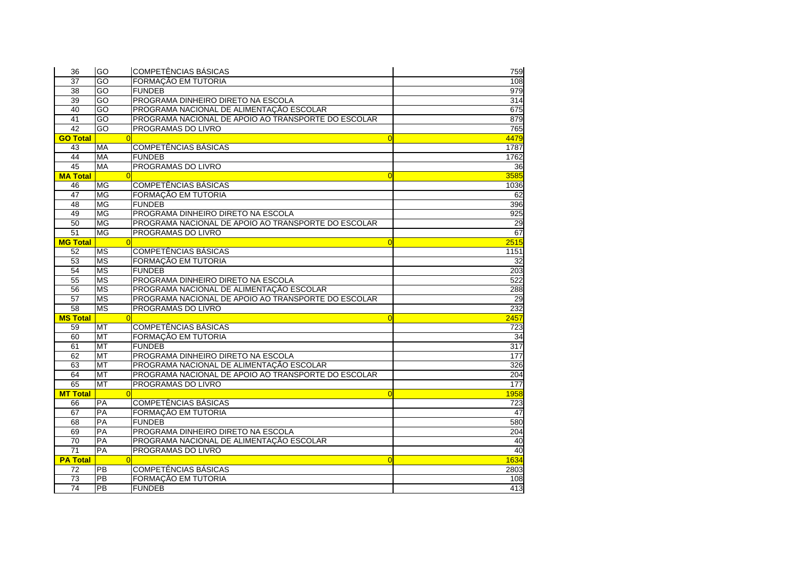| 36              | GO.             | COMPETÊNCIAS BÁSICAS                                | 759                    |
|-----------------|-----------------|-----------------------------------------------------|------------------------|
| 37              | GO              | FORMAÇÃO EM TUTORIA                                 | 108                    |
| 38              | GO              | <b>FUNDEB</b>                                       | 979                    |
| 39              | $\overline{60}$ | PROGRAMA DINHEIRO DIRETO NA ESCOLA                  | 314                    |
| 40              | GO              | PROGRAMA NACIONAL DE ALIMENTAÇÃO ESCOLAR            | 675                    |
| 41              | GO              | PROGRAMA NACIONAL DE APOIO AO TRANSPORTE DO ESCOLAR | 879                    |
| 42              | GO              | PROGRAMAS DO LIVRO                                  | 765                    |
| <b>GO Total</b> | $\Omega$        |                                                     | 4479<br> 0             |
| 43              | <b>MA</b>       | COMPETÊNCIAS BÁSICAS                                | 1787                   |
| 44              | MA              | <b>FUNDEB</b>                                       | 1762                   |
| 45              | МA              | PROGRAMAS DO LIVRO                                  | 36                     |
| <b>MA Total</b> |                 |                                                     | 3585<br>$\overline{0}$ |
| 46              | <b>MG</b>       | <b>COMPETÊNCIAS BÁSICAS</b>                         | 1036                   |
| 47              | MG              | FORMAÇÃO EM TUTORIA                                 | 62                     |
| 48              | MG              | <b>FUNDEB</b>                                       | 396                    |
| 49              | MG              | PROGRAMA DINHEIRO DIRETO NA ESCOLA                  | 925                    |
| 50              | <b>MG</b>       | PROGRAMA NACIONAL DE APOIO AO TRANSPORTE DO ESCOLAR | 29                     |
| 51              | <b>MG</b>       | PROGRAMAS DO LIVRO                                  | 67                     |
| <b>MG Total</b> |                 |                                                     | 2515<br>$\Omega$       |
| 52              | <b>MS</b>       | COMPETÊNCIAS BÁSICAS                                | 1151                   |
| 53              | <b>MS</b>       | FORMAÇÃO EM TUTORIA                                 | 32                     |
| 54              | <b>MS</b>       | <b>FUNDEB</b>                                       | 203                    |
| 55              | <b>MS</b>       | PROGRAMA DINHEIRO DIRETO NA ESCOLA                  | 522                    |
| 56              | <b>MS</b>       | PROGRAMA NACIONAL DE ALIMENTAÇÃO ESCOLAR            | 288                    |
| 57              | <b>MS</b>       | PROGRAMA NACIONAL DE APOIO AO TRANSPORTE DO ESCOLAR | 29                     |
| 58              | <b>MS</b>       | PROGRAMAS DO LIVRO                                  | 232                    |
| <b>MS Total</b> | $\Omega$        |                                                     | 2457<br>$\overline{0}$ |
| 59              | <b>MT</b>       | <b>COMPETÊNCIAS BÁSICAS</b>                         | 723                    |
| 60              | MT              | FORMAÇÃO EM TUTORIA                                 | 34                     |
| 61              | <b>MT</b>       | <b>FUNDEB</b>                                       | 317                    |
| 62              | MT              | PROGRAMA DINHEIRO DIRETO NA ESCOLA                  | 177                    |
| 63              | MT              | PROGRAMA NACIONAL DE ALIMENTAÇÃO ESCOLAR            | 326                    |
| 64              | MT              | PROGRAMA NACIONAL DE APOIO AO TRANSPORTE DO ESCOLAR | 204                    |
| 65              | MT              | PROGRAMAS DO LIVRO                                  | $\overline{177}$       |
| <b>MT Total</b> |                 |                                                     | 1958<br>$\overline{0}$ |
| 66              | PA              | COMPETÊNCIAS BÁSICAS                                | 723                    |
| 67              | PA              | FORMAÇÃO EM TUTORIA                                 | 47                     |
| 68              | PA              | <b>FUNDEB</b>                                       | 580                    |
| 69              | PA              | PROGRAMA DINHEIRO DIRETO NA ESCOLA                  | 204                    |
| 70              | <b>PA</b>       | PROGRAMA NACIONAL DE ALIMENTAÇÃO ESCOLAR            | 40                     |
| 71              | PA              | PROGRAMAS DO LIVRO                                  | 40                     |
| <b>PA Total</b> |                 |                                                     | 1634<br>$\Omega$       |
| 72              | <b>PB</b>       | COMPETÊNCIAS BÁSICAS                                | 2803                   |
| 73              | PB              | FORMAÇÃO EM TUTORIA                                 | 108                    |
| 74              | PB              | <b>FUNDEB</b>                                       | 413                    |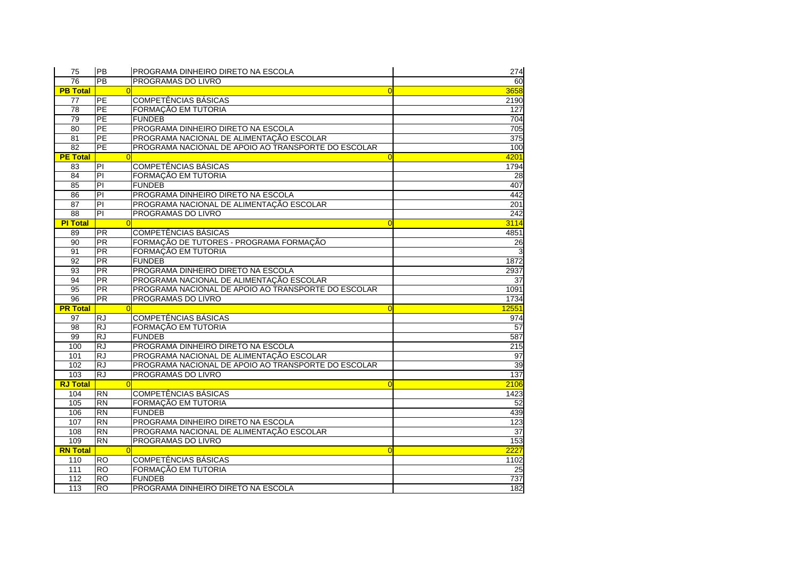| 75              | <b>PB</b>       | PROGRAMA DINHEIRO DIRETO NA ESCOLA                  | 274                    |
|-----------------|-----------------|-----------------------------------------------------|------------------------|
| 76              | $\overline{PB}$ | PROGRAMAS DO LIVRO                                  | 60                     |
| <b>PB Total</b> |                 |                                                     | 3658<br>$\overline{0}$ |
| 77              | PE              | <b>COMPETÊNCIAS BÁSICAS</b>                         | 2190                   |
| 78              | PE              | FORMAÇÃO EM TUTORIA                                 | 127                    |
| 79              | PE              | <b>FUNDEB</b>                                       | 704                    |
| 80              | PE              | PROGRAMA DINHEIRO DIRETO NA ESCOLA                  | 705                    |
| 81              | PE              | PROGRAMA NACIONAL DE ALIMENTAÇÃO ESCOLAR            | 375                    |
| 82              | PE              | PROGRAMA NACIONAL DE APOIO AO TRANSPORTE DO ESCOLAR | 100                    |
| <b>PE Total</b> |                 |                                                     | 4201<br>$\Omega$       |
| 83              | PI              | <b>COMPETÊNCIAS BÁSICAS</b>                         | 1794                   |
| 84              | P               | FORMAÇÃO EM TUTORIA                                 | 28                     |
| 85              | P               | <b>FUNDEB</b>                                       | 407                    |
| 86              | PI              | PROGRAMA DINHEIRO DIRETO NA ESCOLA                  | 442                    |
| 87              | PI              | PROGRAMA NACIONAL DE ALIMENTAÇÃO ESCOLAR            | 201                    |
| 88              | $\overline{P}$  | PROGRAMAS DO LIVRO                                  | 242                    |
| <b>PI Total</b> |                 |                                                     | 3114<br>$\Omega$       |
| 89              | <b>PR</b>       | COMPETÊNCIAS BÁSICAS                                | 4851                   |
| 90              | PR              | FORMAÇÃO DE TUTORES - PROGRAMA FORMAÇÃO             | 26                     |
| 91              | PR              | FORMAÇÃO EM TUTORIA                                 |                        |
| 92              | <b>PR</b>       | <b>FUNDEB</b>                                       | 1872                   |
| 93              | <b>PR</b>       | PROGRAMA DINHEIRO DIRETO NA ESCOLA                  | 2937                   |
| 94              | PR              | PROGRAMA NACIONAL DE ALIMENTAÇÃO ESCOLAR            | 37                     |
| 95              | <b>PR</b>       | PROGRAMA NACIONAL DE APOIO AO TRANSPORTE DO ESCOLAR | 1091                   |
| $\overline{96}$ | <b>PR</b>       | PROGRAMAS DO LIVRO                                  | 1734                   |
| <b>PR Total</b> |                 | $\Omega$                                            | 12551<br>$\Omega$      |
| 97              | <b>RJ</b>       | <b>COMPETÊNCIAS BÁSICAS</b>                         | 974                    |
| $\overline{98}$ | <b>RJ</b>       | FORMAÇÃO EM TUTORIA                                 | 57                     |
| 99              | <b>RJ</b>       | <b>FUNDEB</b>                                       | 587                    |
| 100             | <b>RJ</b>       | PROGRAMA DINHEIRO DIRETO NA ESCOLA                  | 215                    |
| 101             | <b>RJ</b>       | PROGRAMA NACIONAL DE ALIMENTAÇÃO ESCOLAR            | 97                     |
| 102             | <b>RJ</b>       | PROGRAMA NACIONAL DE APOIO AO TRANSPORTE DO ESCOLAR | 39                     |
| 103             | $\overline{RJ}$ | PROGRAMAS DO LIVRO                                  | 137                    |
| <b>RJ Total</b> |                 |                                                     | 2106<br>$\Omega$       |
| 104             | RN              | <b>COMPETÊNCIAS BÁSICAS</b>                         | 1423                   |
| $\frac{105}{2}$ | <b>RN</b>       | FORMAÇÃO EM TUTORIA                                 | 52                     |
| 106             | <b>RN</b>       | <b>FUNDEB</b>                                       | 439                    |
| 107             | <b>RN</b>       | PROGRAMA DINHEIRO DIRETO NA ESCOLA                  | 123                    |
| 108             | <b>RN</b>       | PROGRAMA NACIONAL DE ALIMENTAÇÃO ESCOLAR            | 37                     |
| 109             | $\overline{RN}$ | PROGRAMAS DO LIVRO                                  | 153                    |
| <b>RN Total</b> |                 | $\Omega$                                            | 2227<br>$\overline{0}$ |
| 110             | <b>RO</b>       | <b>COMPETÊNCIAS BÁSICAS</b>                         | 1102                   |
| 111             | <b>RO</b>       | FORMAÇÃO EM TUTORIA                                 | 25                     |
| 112             | <b>RO</b>       | <b>FUNDEB</b>                                       | 737                    |
| 113             | <b>RO</b>       | PROGRAMA DINHEIRO DIRETO NA ESCOLA                  | 182                    |